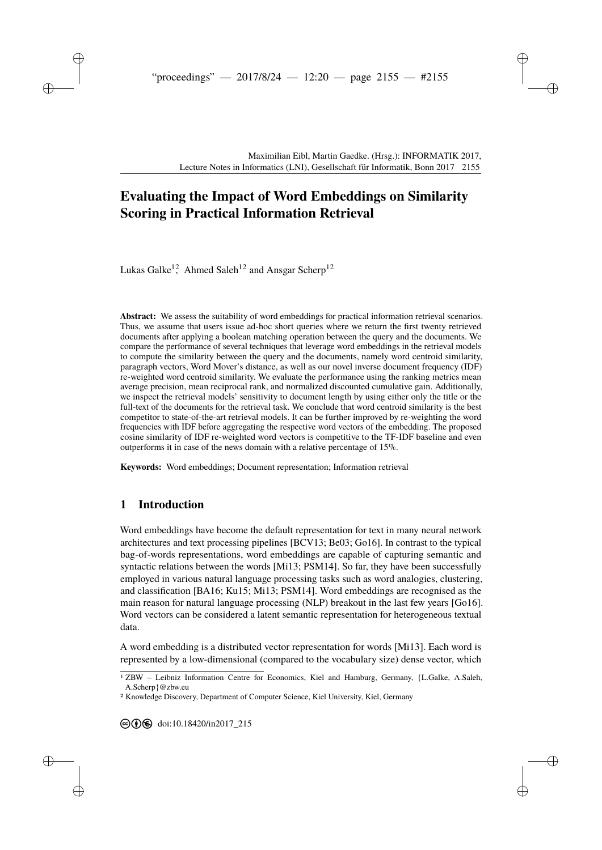# **[E](#page--1-0)valuating the Impact of Word Embeddings on Similarity Scoring in Practical Information Retrieval**

Lukas Galke<sup>12</sup>, Ahmed Saleh<sup>12</sup> and Ansgar Scherp<sup>12</sup>

**Abstract:** We assess the suitability of word embeddings for practical information retrieval scenarios. Thus, we assume that users issue ad-hoc short queries where we return the first twenty retrieved documents after applying a boolean matching operation between the query and the documents. We compare the performance of several techniques that leverage word embeddings in the retrieval models to compute the similarity between the query and the documents, namely word centroid similarity, paragraph vectors, Word Mover's distance, as well as our novel inverse document frequency (IDF) re-weighted word centroid similarity. We evaluate the performance using the ranking metrics mean average precision, mean reciprocal rank, and normalized discounted cumulative gain. Additionally, we inspect the retrieval models' sensitivity to document length by using either only the title or the full-text of the documents for the retrieval task. We conclude that word centroid similarity is the best competitor to state-of-the-art retrieval models. It can be further improved by re-weighting the word frequencies with IDF before aggregating the respective word vectors of the embedding. The proposed cosine similarity of IDF re-weighted word vectors is competitive to the TF-IDF baseline and even outperforms it in case of the news domain with a relative percentage of 15%.

**Keywords:** Word embeddings; Document representation; Information retrieval

# **1 Introduction**

Word embeddings have become the default representation for text in many neural network architectures and text processing pipelines [\[BCV13;](#page-11-0) [Be03;](#page-11-1) [Go16\]](#page-11-2). In contrast to the typical bag-of-words representations, word embeddings are capable of capturing semantic and syntactic relations between the words [\[Mi13;](#page-12-0) [PSM14\]](#page-12-1). So far, they have been successfully employed in various natural language processing tasks such as word analogies, clustering, and classification [\[BA16;](#page-11-3) [Ku15;](#page-11-4) [Mi13;](#page-12-0) [PSM14\]](#page-12-1). Word embeddings are recognised as the main reason for natural language processing (NLP) breakout in the last few years [\[Go16\]](#page-11-2). Word vectors can be considered a latent semantic representation for heterogeneous textual data.

A word embedding is a distributed vector representation for words [\[Mi13\]](#page-12-0). Each word is represented by a low-dimensional (compared to the vocabulary size) dense vector, which

<sup>1</sup> ZBW – Leibniz Information Centre for Economics, Kiel and Hamburg, Germany, {L.Galke, A.Saleh, A.Scherp}@zbw.eu

<sup>2</sup> Knowledge Discovery, Department of Computer Science, Kiel University, Kiel, Germany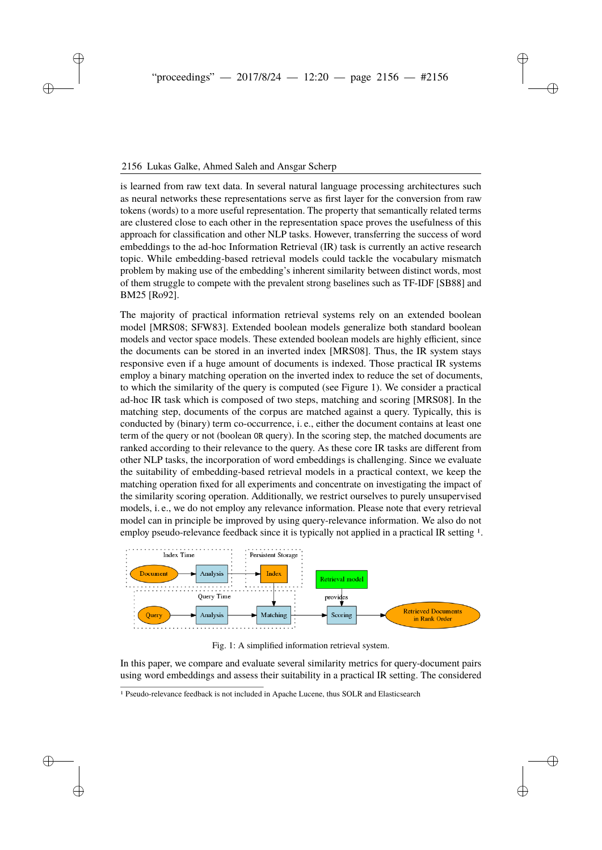#### 2 Lukas Galke, Ahmed Saleh and Ansgar Scherp 2156 Lukas Galke, Ahmed Saleh and Ansgar Scherp

is learned from raw text data. In several natural language processing architectures such as neural networks these representations serve as first layer for the conversion from raw tokens (words) to a more useful representation. The property that semantically related terms are clustered close to each other in the representation space proves the usefulness of this approach for classification and other NLP tasks. However, transferring the success of word embeddings to the ad-hoc Information Retrieval (IR) task is currently an active research topic. While embedding-based retrieval models could tackle the vocabulary mismatch problem by making use of the embedding's inherent similarity between distinct words, most of them struggle to compete with the prevalent strong baselines such as TF-IDF [\[SB88\]](#page-12-2) and BM25 [\[Ro92\]](#page-12-3).

The majority of practical information retrieval systems rely on an extended boolean model [\[MRS08;](#page-12-4) [SFW83\]](#page-12-5). Extended boolean models generalize both standard boolean models and vector space models. These extended boolean models are highly efficient, since the documents can be stored in an inverted index [\[MRS08\]](#page-12-4). Thus, the IR system stays responsive even if a huge amount of documents is indexed. Those practical IR systems employ a binary matching operation on the inverted index to reduce the set of documents, to which the similarity of the query is computed (see Figure [1\)](#page-1-0). We consider a practical ad-hoc IR task which is composed of two steps, matching and scoring [\[MRS08\]](#page-12-4). In the matching step, documents of the corpus are matched against a query. Typically, this is conducted by (binary) term co-occurrence, i. e., either the document contains at least one term of the query or not (boolean OR query). In the scoring step, the matched documents are ranked according to their relevance to the query. As these core IR tasks are different from other NLP tasks, the incorporation of word embeddings is challenging. Since we evaluate the suitability of embedding-based retrieval models in a practical context, we keep the matching operation fixed for all experiments and concentrate on investigating the impact of the similarity scoring operation. Additionally, we restrict ourselves to purely unsupervised models, i. e., we do not employ any relevance information. Please note that every retrieval model can in principle be improved by using query-relevance information. We also do not employ pseudo-relevance feedback since it is typically not applied in a practical IR setting  $<sup>1</sup>$  $<sup>1</sup>$  $<sup>1</sup>$ .</sup>

<span id="page-1-0"></span>

Fig. 1: A simplified information retrieval system.

In this paper, we compare and evaluate several similarity metrics for query-document pairs using word embeddings and assess their suitability in a practical IR setting. The considered

<span id="page-1-1"></span><sup>1</sup> Pseudo-relevance feedback is not included in Apache Lucene, thus SOLR and Elasticsearch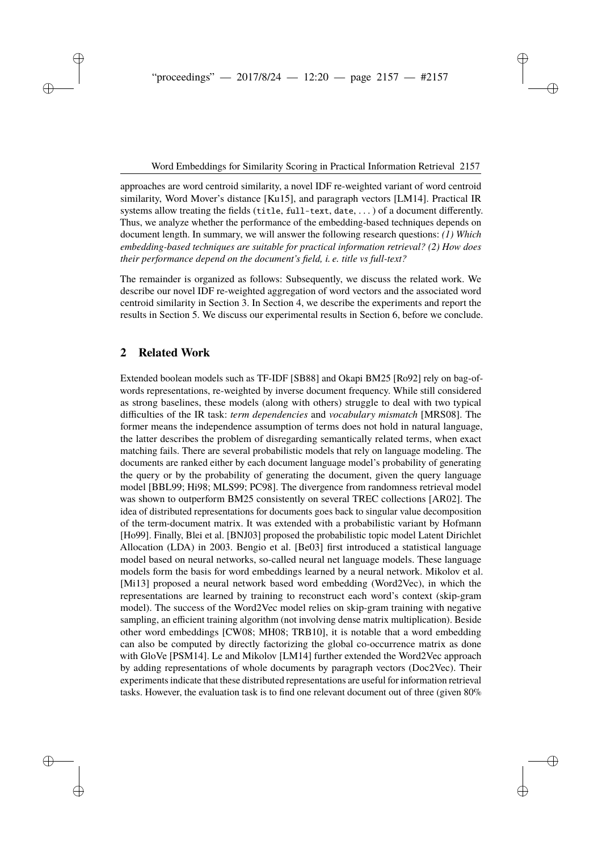approaches are word centroid similarity, a novel IDF re-weighted variant of word centroid similarity, Word Mover's distance [\[Ku15\]](#page-11-4), and paragraph vectors [\[LM14\]](#page-12-6). Practical IR systems allow treating the fields (title, full-text, date,  $\dots$ ) of a document differently. Thus, we analyze whether the performance of the embedding-based techniques depends on document length. In summary, we will answer the following research questions: *(1) Which embedding-based techniques are suitable for practical information retrieval? (2) How does their performance depend on the document's field, i. e. title vs full-text?*

The remainder is organized as follows: Subsequently, we discuss the related work. We describe our novel IDF re-weighted aggregation of word vectors and the associated word centroid similarity in Section [3.](#page-3-0) In Section [4,](#page-4-0) we describe the experiments and report the results in Section [5.](#page-7-0) We discuss our experimental results in Section [6,](#page-10-0) before we conclude.

# **2 Related Work**

Extended boolean models such as TF-IDF [\[SB88\]](#page-12-2) and Okapi BM25 [\[Ro92\]](#page-12-3) rely on bag-ofwords representations, re-weighted by inverse document frequency. While still considered as strong baselines, these models (along with others) struggle to deal with two typical difficulties of the IR task: *term dependencies* and *vocabulary mismatch* [\[MRS08\]](#page-12-4). The former means the independence assumption of terms does not hold in natural language, the latter describes the problem of disregarding semantically related terms, when exact matching fails. There are several probabilistic models that rely on language modeling. The documents are ranked either by each document language model's probability of generating the query or by the probability of generating the document, given the query language model [\[BBL99;](#page-11-5) [Hi98;](#page-11-6) [MLS99;](#page-12-7) [PC98\]](#page-12-8). The divergence from randomness retrieval model was shown to outperform BM25 consistently on several TREC collections [\[AR02\]](#page-11-7). The idea of distributed representations for documents goes back to singular value decomposition of the term-document matrix. It was extended with a probabilistic variant by Hofmann [\[Ho99\]](#page-11-8). Finally, Blei et al. [\[BNJ03\]](#page-11-9) proposed the probabilistic topic model Latent Dirichlet Allocation (LDA) in 2003. Bengio et al. [\[Be03\]](#page-11-1) first introduced a statistical language model based on neural networks, so-called neural net language models. These language models form the basis for word embeddings learned by a neural network. Mikolov et al. [\[Mi13\]](#page-12-0) proposed a neural network based word embedding (Word2Vec), in which the representations are learned by training to reconstruct each word's context (skip-gram model). The success of the Word2Vec model relies on skip-gram training with negative sampling, an efficient training algorithm (not involving dense matrix multiplication). Beside other word embeddings [\[CW08;](#page-11-10) [MH08;](#page-12-9) [TRB10\]](#page-12-10), it is notable that a word embedding can also be computed by directly factorizing the global co-occurrence matrix as done with GloVe [\[PSM14\]](#page-12-1). Le and Mikolov [\[LM14\]](#page-12-6) further extended the Word2Vec approach by adding representations of whole documents by paragraph vectors (Doc2Vec). Their experiments indicate that these distributed representations are useful for information retrieval tasks. However, the evaluation task is to find one relevant document out of three (given 80%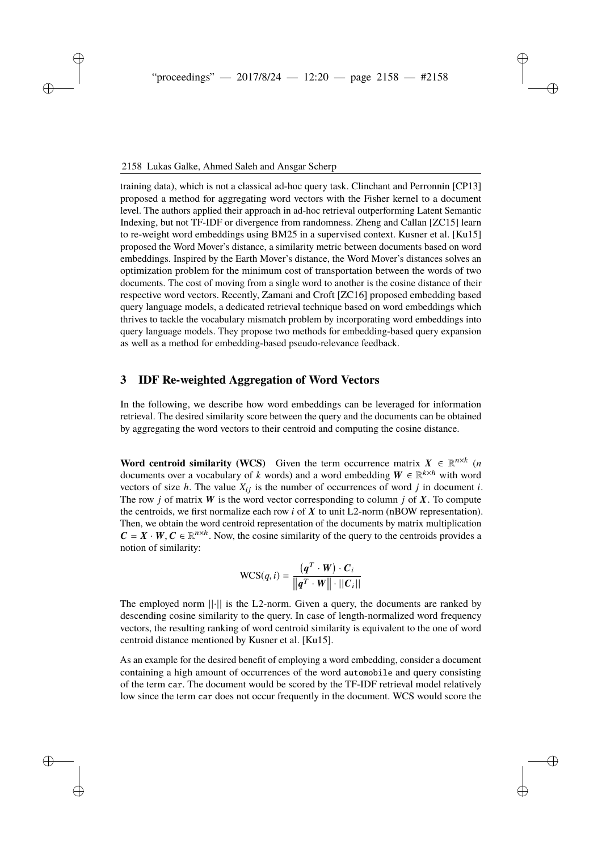training data), which is not a classical ad-hoc query task. Clinchant and Perronnin [\[CP13\]](#page-11-11) proposed a method for aggregating word vectors with the Fisher kernel to a document level. The authors applied their approach in ad-hoc retrieval outperforming Latent Semantic Indexing, but not TF-IDF or divergence from randomness. Zheng and Callan [\[ZC15\]](#page-12-11) learn to re-weight word embeddings using BM25 in a supervised context. Kusner et al. [\[Ku15\]](#page-11-4) proposed the Word Mover's distance, a similarity metric between documents based on word embeddings. Inspired by the Earth Mover's distance, the Word Mover's distances solves an optimization problem for the minimum cost of transportation between the words of two documents. The cost of moving from a single word to another is the cosine distance of their respective word vectors. Recently, Zamani and Croft [\[ZC16\]](#page-12-12) proposed embedding based query language models, a dedicated retrieval technique based on word embeddings which thrives to tackle the vocabulary mismatch problem by incorporating word embeddings into query language models. They propose two methods for embedding-based query expansion as well as a method for embedding-based pseudo-relevance feedback.

#### <span id="page-3-0"></span>**3 IDF Re-weighted Aggregation of Word Vectors**

In the following, we describe how word embeddings can be leveraged for information retrieval. The desired similarity score between the query and the documents can be obtained by aggregating the word vectors to their centroid and computing the cosine distance.

**Word centroid similarity (WCS)** Given the term occurrence matrix  $X \in \mathbb{R}^{n \times k}$  (*n* documents over a vocabulary of *k* words) and a word embedding  $W \in \mathbb{R}^{k \times h}$  with word vectors of size *h*. The value  $X_{ij}$  is the number of occurrences of word *j* in document *i*. The row *j* of matrix W is the word vector corresponding to column *j* of X. To compute the centroids, we first normalize each row  $i$  of  $X$  to unit  $L2$ -norm (nBOW representation). Then, we obtain the word centroid representation of the documents by matrix multiplication  $C = X \cdot W$ ,  $C \in \mathbb{R}^{n \times h}$ . Now, the cosine similarity of the query to the centroids provides a notion of similarity:

$$
\text{WCS}(q, i) = \frac{(\boldsymbol{q}^T \cdot \boldsymbol{W}) \cdot \boldsymbol{C}_i}{\left\| \boldsymbol{q}^T \cdot \boldsymbol{W} \right\| \cdot \left\| \boldsymbol{C}_i \right\|}
$$

The employed norm  $||\cdot||$  is the L2-norm. Given a query, the documents are ranked by descending cosine similarity to the query. In case of length-normalized word frequency vectors, the resulting ranking of word centroid similarity is equivalent to the one of word centroid distance mentioned by Kusner et al. [\[Ku15\]](#page-11-4).

As an example for the desired benefit of employing a word embedding, consider a document containing a high amount of occurrences of the word automobile and query consisting of the term car. The document would be scored by the TF-IDF retrieval model relatively low since the term car does not occur frequently in the document. WCS would score the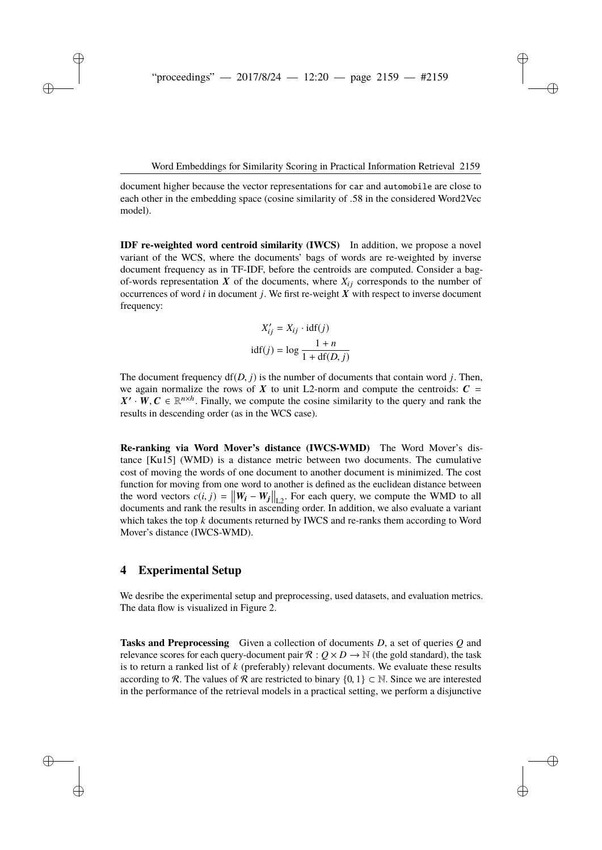document higher because the vector representations for car and automobile are close to each other in the embedding space (cosine similarity of .58 in the considered Word2Vec model).

**IDF re-weighted word centroid similarity (IWCS)** In addition, we propose a novel variant of the WCS, where the documents' bags of words are re-weighted by inverse document frequency as in TF-IDF, before the centroids are computed. Consider a bagof-words representation  $X$  of the documents, where  $X_{ij}$  corresponds to the number of occurrences of word *i* in document *j*. We first re-weight X with respect to inverse document frequency:

$$
X'_{ij} = X_{ij} \cdot \text{idf}(j)
$$
  
 
$$
\text{idf}(j) = \log \frac{1+n}{1 + \text{df}(D, j)}
$$

The document frequency  $df(D, i)$  is the number of documents that contain word *j*. Then, we again normalize the rows of X to unit L2-norm and compute the centroids:  $C =$  $X' \cdot W$ ,  $C \in \mathbb{R}^{n \times h}$ . Finally, we compute the cosine similarity to the query and rank the results in descending order (as in the WCS case).

**Re-ranking via Word Mover's distance (IWCS-WMD)** The Word Mover's distance [\[Ku15\]](#page-11-4) (WMD) is a distance metric between two documents. The cumulative cost of moving the words of one document to another document is minimized. The cost function for moving from one word to another is defined as the euclidean distance between the word vectors  $c(i, j) = ||W_i - W_j||_{L^2}$ . For each query, we compute the WMD to all documents and rank the results in ascending order. In addition, we also evaluate a variant which takes the top *k* documents returned by IWCS and re-ranks them according to Word Mover's distance (IWCS-WMD).

#### <span id="page-4-0"></span>**4 Experimental Setup**

We desribe the experimental setup and preprocessing, used datasets, and evaluation metrics. The data flow is visualized in Figure [2.](#page-5-0)

**Tasks and Preprocessing** Given a collection of documents *D*, a set of queries *Q* and relevance scores for each query-document pair  $\mathcal{R}: Q \times D \to \mathbb{N}$  (the gold standard), the task is to return a ranked list of *k* (preferably) relevant documents. We evaluate these results according to R. The values of R are restricted to binary  $\{0, 1\} \subset \mathbb{N}$ . Since we are interested in the performance of the retrieval models in a practical setting, we perform a disjunctive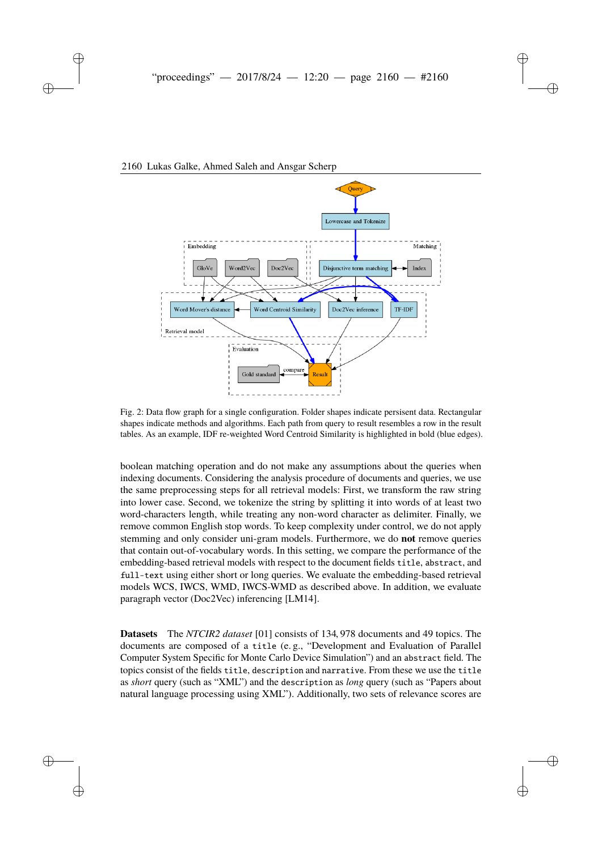

#### <span id="page-5-0"></span>6 Lukas Galke, Ahmed Saleh and Ansgar Scherp 2160 Lukas Galke, Ahmed Saleh and Ansgar Scherp

Fig. 2: Data flow graph for a single configuration. Folder shapes indicate persisent data. Rectangular shapes indicate methods and algorithms. Each path from query to result resembles a row in the result tables. As an example, IDF re-weighted Word Centroid Similarity is highlighted in bold (blue edges).

boolean matching operation and do not make any assumptions about the queries when indexing documents. Considering the analysis procedure of documents and queries, we use the same preprocessing steps for all retrieval models: First, we transform the raw string into lower case. Second, we tokenize the string by splitting it into words of at least two word-characters length, while treating any non-word character as delimiter. Finally, we remove common English stop words. To keep complexity under control, we do not apply stemming and only consider uni-gram models. Furthermore, we do **not** remove queries that contain out-of-vocabulary words. In this setting, we compare the performance of the embedding-based retrieval models with respect to the document fields title, abstract, and full-text using either short or long queries. We evaluate the embedding-based retrieval models WCS, IWCS, WMD, IWCS-WMD as described above. In addition, we evaluate paragraph vector (Doc2Vec) inferencing [\[LM14\]](#page-12-6).

**Datasets** The *NTCIR2 dataset* [\[01\]](#page-11-12) consists of 134, 978 documents and 49 topics. The documents are composed of a title (e. g., "Development and Evaluation of Parallel Computer System Specific for Monte Carlo Device Simulation") and an abstract field. The topics consist of the fields title, description and narrative. From these we use the title as *short* query (such as "XML") and the description as *long* query (such as "Papers about natural language processing using XML"). Additionally, two sets of relevance scores are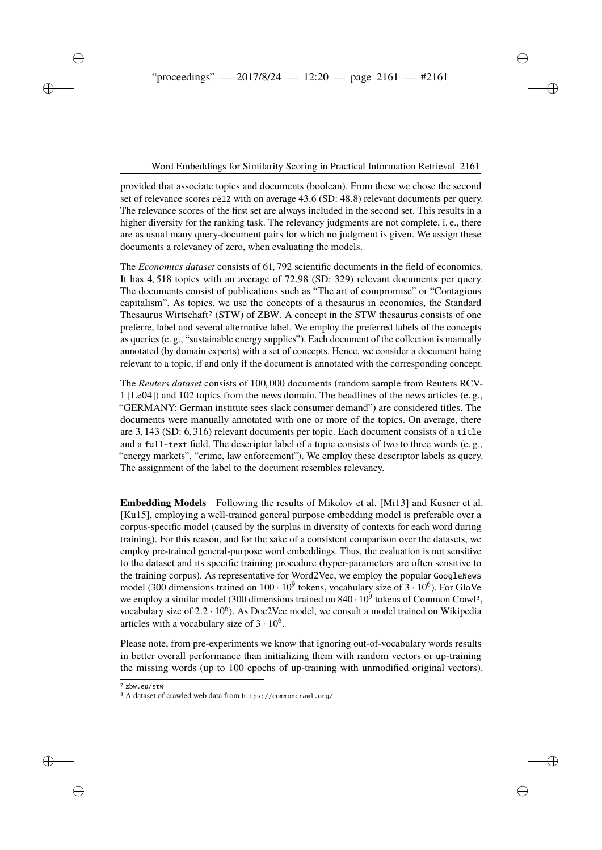provided that associate topics and documents (boolean). From these we chose the second set of relevance scores rel2 with on average 43.6 (SD: 48.8) relevant documents per query. The relevance scores of the first set are always included in the second set. This results in a higher diversity for the ranking task. The relevancy judgments are not complete, i. e., there are as usual many query-document pairs for which no judgment is given. We assign these documents a relevancy of zero, when evaluating the models.

The *Economics dataset* consists of 61, 792 scientific documents in the field of economics. It has 4, 518 topics with an average of 72.98 (SD: 329) relevant documents per query. The documents consist of publications such as "The art of compromise" or "Contagious capitalism", As topics, we use the concepts of a thesaurus in economics, the Standard Thesaurus Wirtschaft<sup>[2](#page-6-0)</sup> (STW) of ZBW. A concept in the STW thesaurus consists of one preferre, label and several alternative label. We employ the preferred labels of the concepts as queries (e. g., "sustainable energy supplies"). Each document of the collection is manually annotated (by domain experts) with a set of concepts. Hence, we consider a document being relevant to a topic, if and only if the document is annotated with the corresponding concept.

The *Reuters dataset* consists of 100, 000 documents (random sample from Reuters RCV-1 [\[Le04\]](#page-11-13)) and 102 topics from the news domain. The headlines of the news articles (e. g., "GERMANY: German institute sees slack consumer demand") are considered titles. The documents were manually annotated with one or more of the topics. On average, there are 3, 143 (SD: 6, 316) relevant documents per topic. Each document consists of a title and a full-text field. The descriptor label of a topic consists of two to three words (e. g., "energy markets", "crime, law enforcement"). We employ these descriptor labels as query. The assignment of the label to the document resembles relevancy.

**Embedding Models** Following the results of Mikolov et al. [\[Mi13\]](#page-12-0) and Kusner et al. [\[Ku15\]](#page-11-4), employing a well-trained general purpose embedding model is preferable over a corpus-specific model (caused by the surplus in diversity of contexts for each word during training). For this reason, and for the sake of a consistent comparison over the datasets, we employ pre-trained general-purpose word embeddings. Thus, the evaluation is not sensitive to the dataset and its specific training procedure (hyper-parameters are often sensitive to the training corpus). As representative for Word2Vec, we employ the popular GoogleNews model (300 dimensions trained on  $100 \cdot 10^9$  tokens, vocabulary size of  $3 \cdot 10^6$ ). For GloVe we employ a similar model ([3](#page-6-1)00 dimensions trained on  $840 \cdot 10^9$  tokens of Common Crawl<sup>3</sup>, vocabulary size of  $2.2 \cdot 10^6$ ). As Doc2Vec model, we consult a model trained on Wikipedia articles with a vocabulary size of  $3 \cdot 10^6$ .

Please note, from pre-experiments we know that ignoring out-of-vocabulary words results in better overall performance than initializing them with random vectors or up-training the missing words (up to 100 epochs of up-training with unmodified original vectors).

<span id="page-6-0"></span>2 <zbw.eu/stw>

<span id="page-6-1"></span><sup>3</sup> A dataset of crawled web data from <https://commoncrawl.org/>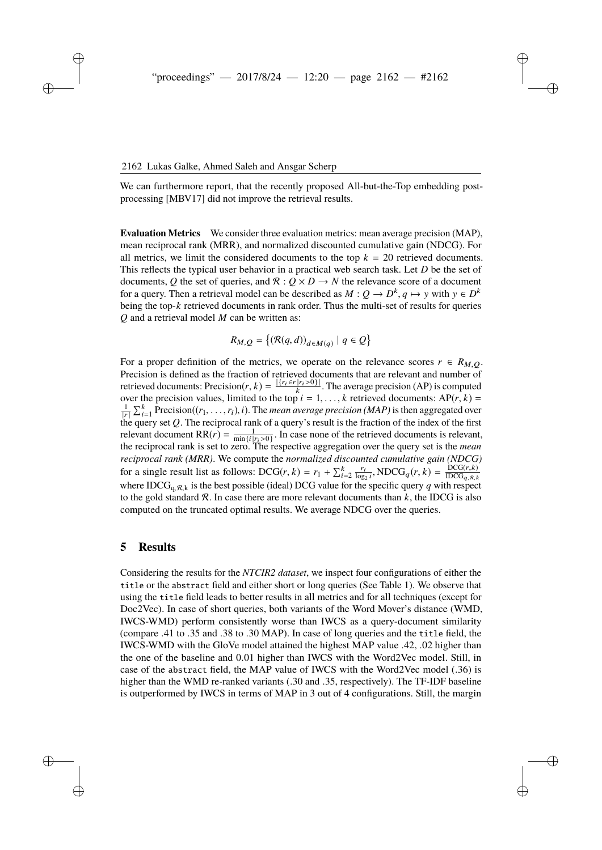We can furthermore report, that the recently proposed All-but-the-Top embedding postprocessing [\[MBV17\]](#page-12-13) did not improve the retrieval results.

**Evaluation Metrics** We consider three evaluation metrics: mean average precision (MAP), mean reciprocal rank (MRR), and normalized discounted cumulative gain (NDCG). For all metrics, we limit the considered documents to the top  $k = 20$  retrieved documents. This reflects the typical user behavior in a practical web search task. Let *D* be the set of documents, Q the set of queries, and  $\mathcal{R}: Q \times D \to N$  the relevance score of a document for a query. Then a retrieval model can be described as  $M: Q \to D^k, q \mapsto y$  with  $y \in D^k$ being the top-*k* retrieved documents in rank order. Thus the multi-set of results for queries *Q* and a retrieval model *M* can be written as:

$$
R_{M,Q} = \{ (\mathcal{R}(q,d))_{d \in M(q)} \mid q \in Q \}
$$

For a proper definition of the metrics, we operate on the relevance scores  $r \in R_{M,O}$ . Precision is defined as the fraction of retrieved documents that are relevant and number of retrieved documents: Precision $(r, k) = \frac{|\{r_i \in r | r_i > 0\}|}{k}$ . The average precision (AP) is computed over the precision values, limited to the top  $i = 1, ..., k$  retrieved documents:  $AP(r, k) = \frac{1}{k} \sum_{i=1}^{k} P(r_i(r, k) - r_i)$  *i*). The mean overage precision (*MAP*) is then aggregated over  $\frac{1}{|r|} \sum_{i=1}^{k}$  Precision( $(r_1, \ldots, r_i)$ , *i*). The *mean average precision (MAP)* is then aggregated over the query set *Q*. The reciprocal rank of a query's result is the fraction of the index of the first relevant document RR $(r) = \frac{1}{\min\{i\mid r_i > 0\}}$ . In case none of the retrieved documents is relevant, the reciprocal rank is set to zero. The respective aggregation over the query set is the *mean reciprocal rank (MRR)*. We compute the *normalized discounted cumulative gain (NDCG)* for a single result list as follows:  $DCG(r, k) = r_1 + \sum_{i=2}^{k} \frac{r_i}{\log_2 i}$ ,  $NDCG_q(r, k) = \frac{DCG(r, k)}{IDCG_{q, R, k}}$  $\text{IDCG}_{q, R, k}$ where IDCG<sub>a,R,k</sub> is the best possible (ideal) DCG value for the specific query *q* with respect to the gold standard  $\mathcal{R}$ . In case there are more relevant documents than  $k$ , the IDCG is also computed on the truncated optimal results. We average NDCG over the queries.

#### <span id="page-7-0"></span>**5 Results**

Considering the results for the *NTCIR2 dataset*, we inspect four configurations of either the title or the abstract field and either short or long queries (See Table [1\)](#page-8-0). We observe that using the title field leads to better results in all metrics and for all techniques (except for Doc2Vec). In case of short queries, both variants of the Word Mover's distance (WMD, IWCS-WMD) perform consistently worse than IWCS as a query-document similarity (compare .41 to .35 and .38 to .30 MAP). In case of long queries and the title field, the IWCS-WMD with the GloVe model attained the highest MAP value .42, .02 higher than the one of the baseline and 0.01 higher than IWCS with the Word2Vec model. Still, in case of the abstract field, the MAP value of IWCS with the Word2Vec model (.36) is higher than the WMD re-ranked variants (.30 and .35, respectively). The TF-IDF baseline is outperformed by IWCS in terms of MAP in 3 out of 4 configurations. Still, the margin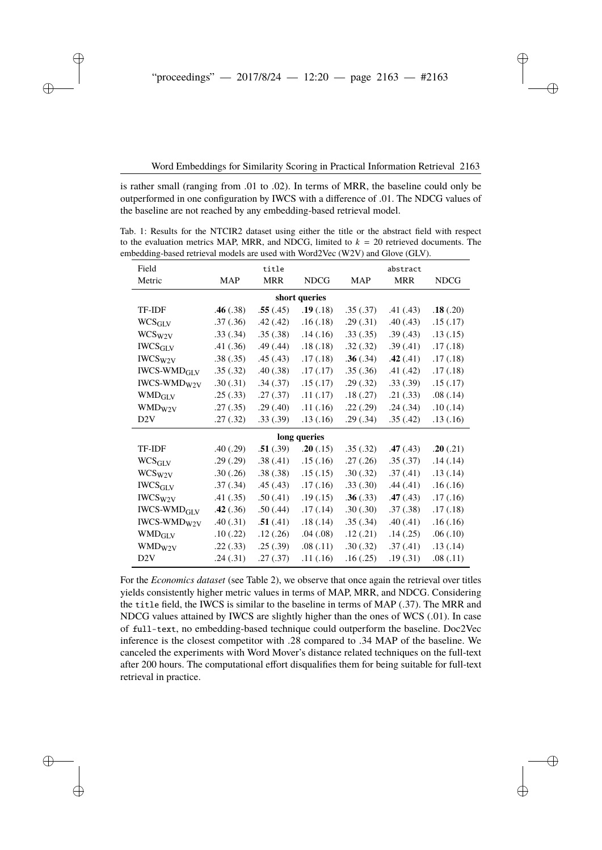is rather small (ranging from .01 to .02). In terms of MRR, the baseline could only be outperformed in one configuration by IWCS with a difference of .01. The NDCG values of the baseline are not reached by any embedding-based retrieval model.

<span id="page-8-0"></span>Tab. 1: Results for the NTCIR2 dataset using either the title or the abstract field with respect to the evaluation metrics MAP, MRR, and NDCG, limited to  $k = 20$  retrieved documents. The embedding-based retrieval models are used with Word2Vec (W2V) and Glove (GLV).

| Field                                          |            | title      |               |            | abstract   |             |
|------------------------------------------------|------------|------------|---------------|------------|------------|-------------|
| Metric                                         | <b>MAP</b> | <b>MRR</b> | <b>NDCG</b>   | <b>MAP</b> | <b>MRR</b> | <b>NDCG</b> |
|                                                |            |            | short queries |            |            |             |
| TF-IDF                                         | .46(.38)   | .55(.45)   | .19(.18)      | .35(.37)   | .41(.43)   | .18(.20)    |
| WCS <sub>GLV</sub>                             | .37(.36)   | .42(.42)   | .16(.18)      | .29(.31)   | .40(0.43)  | .15(.17)    |
| WCS <sub>W2V</sub>                             | .33(.34)   | .35(.38)   | .14(.16)      | .33(.35)   | .39(.43)   | .13(.15)    |
| <b>IWCS<sub>GLV</sub></b>                      | .41(.36)   | .49(.44)   | .18(.18)      | .32(.32)   | .39(.41)   | .17(.18)    |
| IWCS <sub>W2V</sub>                            | .38(.35)   | .45(.43)   | .17(0.18)     | .36(.34)   | .42(.41)   | .17(0.18)   |
| <b>IWCS-WMD<sub>GLV</sub></b>                  | .35(.32)   | .40(.38)   | .17(.17)      | .35(.36)   | .41(.42)   | .17(.18)    |
| IWCS-WMD <sub>W2V</sub>                        | .30(.31)   | .34(.37)   | .15(.17)      | .29(.32)   | .33(.39)   | .15(.17)    |
| <b>WMD<sub>GLV</sub></b>                       | .25(.33)   | .27(.37)   | .11(.17)      | .18(.27)   | .21(.33)   | .08(.14)    |
| WMD <sub>W2V</sub>                             | .27(.35)   | .29(.40)   | .11(.16)      | .22(.29)   | .24(.34)   | .10(.14)    |
| D2V                                            | .27(.32)   | .33(.39)   | .13(.16)      | .29(.34)   | .35(.42)   | .13(.16)    |
|                                                |            |            | long queries  |            |            |             |
| <b>TF-IDF</b>                                  | .40(.29)   | .51(.39)   | .20(.15)      | .35(.32)   | .47(.43)   | .20(.21)    |
| <b>WCS<sub>GLV</sub></b>                       | .29(.29)   | .38(.41)   | .15(.16)      | .27(.26)   | .35(.37)   | .14(.14)    |
| WCS <sub>W2V</sub>                             | .30(.26)   | .38(.38)   | .15(.15)      | .30(.32)   | .37(.41)   | .13(.14)    |
| $\mathop{\textit{IWCS}\xspace}_{\textit{GLV}}$ | .37(.34)   | .45(.43)   | .17(0.16)     | .33(.30)   | .44(.41)   | .16(.16)    |
| IWCS <sub>W2V</sub>                            | .41(.35)   | .50(.41)   | .19(0.15)     | .36(.33)   | .47(.43)   | .17(.16)    |
| <b>IWCS-WMD<sub>GLV</sub></b>                  | .42(.36)   | .50(.44)   | .17(0.14)     | .30(.30)   | .37(.38)   | .17(.18)    |
| <b>IWCS-WMD<sub>W2V</sub></b>                  | .40(.31)   | .51(.41)   | .18(.14)      | .35(.34)   | .40(.41)   | .16(.16)    |
| <b>WMD<sub>GLV</sub></b>                       | .10(.22)   | .12(.26)   | .04(.08)      | .12(.21)   | .14(.25)   | .06(.10)    |
| WMD <sub>W2V</sub>                             | .22(.33)   | .25(.39)   | .08(.11)      | .30(.32)   | .37(.41)   | .13( .14)   |
| D2V                                            | .24(.31)   | .27(.37)   | .11(.16)      | .16(.25)   | .19(0.31)  | .08(.11)    |

For the *Economics dataset* (see Table [2\)](#page-9-0), we observe that once again the retrieval over titles yields consistently higher metric values in terms of MAP, MRR, and NDCG. Considering the title field, the IWCS is similar to the baseline in terms of MAP (.37). The MRR and NDCG values attained by IWCS are slightly higher than the ones of WCS (.01). In case of full-text, no embedding-based technique could outperform the baseline. Doc2Vec inference is the closest competitor with .28 compared to .34 MAP of the baseline. We canceled the experiments with Word Mover's distance related techniques on the full-text after 200 hours. The computational effort disqualifies them for being suitable for full-text retrieval in practice.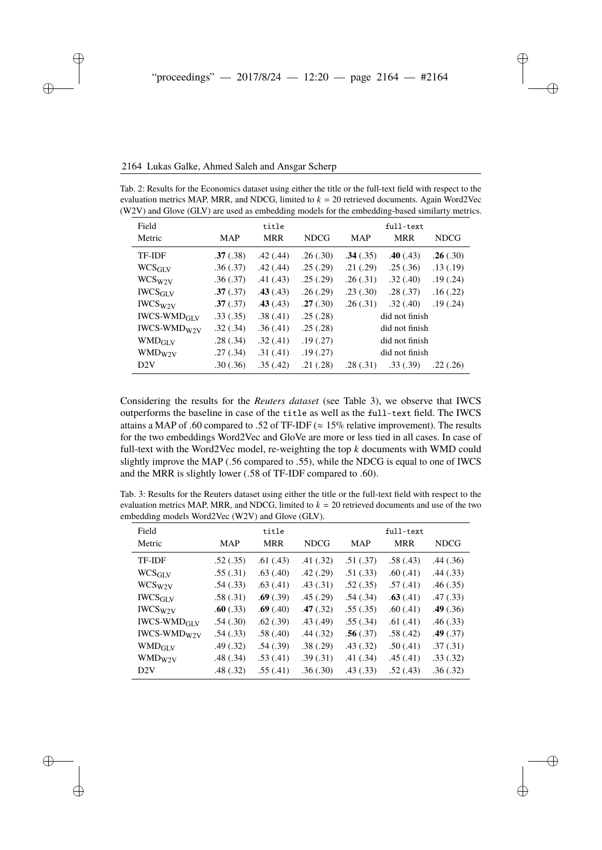| Field                     |          | title      |             |                | full-text  |             |
|---------------------------|----------|------------|-------------|----------------|------------|-------------|
| Metric                    | MAP      | <b>MRR</b> | <b>NDCG</b> | <b>MAP</b>     | <b>MRR</b> | <b>NDCG</b> |
| TF-IDF                    | .37(.38) | .42(.44)   | .26(.30)    | .34(.35)       | .40(0.43)  | .26(.30)    |
| <b>WCS<sub>GLV</sub></b>  | .36(.37) | .42(.44)   | .25(.29)    | .21(.29)       | .25(.36)   | .13(.19)    |
| $WCS_{W2V}$               | .36(.37) | .41(.43)   | .25(.29)    | .26(.31)       | .32(.40)   | .19(.24)    |
| <b>IWCS<sub>GLV</sub></b> | .37(.37) | .43(.43)   | .26(.29)    | .23(.30)       | .28(.37)   | .16(.22)    |
| $IWCS_{W2V}$              | .37(.37) | .43(.43)   | .27(.30)    | .26(.31)       | .32(.40)   | .19(.24)    |
| $IWCS-WMDGLY$             | .33(.35) | .38(.41)   | .25(.28)    | did not finish |            |             |
| $IWCS-WMDW2V$             | .32(.34) | .36(.41)   | .25(.28)    | did not finish |            |             |
| <b>WMD<sub>GLV</sub></b>  | .28(.34) | .32(.41)   | .19(.27)    | did not finish |            |             |
| WMD <sub>W2V</sub>        | .27(.34) | .31(.41)   | .19(.27)    | did not finish |            |             |
| D <sub>2</sub> V          | .30(.36) | .35(.42)   | .21(.28)    | .28(.31)       | .33(.39)   | .22(.26)    |

<span id="page-9-0"></span>Tab. 2: Results for the Economics dataset using either the title or the full-text field with respect to the evaluation metrics MAP, MRR, and NDCG, limited to  $k = 20$  retrieved documents. Again Word2Vec (W2V) and Glove (GLV) are used as embedding models for the embedding-based similarty metrics.

Considering the results for the *Reuters dataset* (see Table [3\)](#page-9-1), we observe that IWCS outperforms the baseline in case of the title as well as the full-text field. The IWCS attains a MAP of .60 compared to .52 of TF-IDF ( $\approx 15\%$  relative improvement). The results for the two embeddings Word2Vec and GloVe are more or less tied in all cases. In case of full-text with the Word2Vec model, re-weighting the top *k* documents with WMD could slightly improve the MAP (.56 compared to .55), while the NDCG is equal to one of IWCS and the MRR is slightly lower (.58 of TF-IDF compared to .60).

<span id="page-9-1"></span>

| Tab. 3: Results for the Reuters dataset using either the title or the full-text field with respect to the |
|-----------------------------------------------------------------------------------------------------------|
| evaluation metrics MAP, MRR, and NDCG, limited to $k = 20$ retrieved documents and use of the two         |
| embedding models Word2Vec (W2V) and Glove (GLV).                                                          |

| Field                         |            | title      |             |            | full-text  |             |
|-------------------------------|------------|------------|-------------|------------|------------|-------------|
| Metric                        | <b>MAP</b> | <b>MRR</b> | <b>NDCG</b> | <b>MAP</b> | <b>MRR</b> | <b>NDCG</b> |
| <b>TF-IDF</b>                 | .52(.35)   | .61(.43)   | .41(.32)    | .51(.37)   | .58(.43)   | .44(0.36)   |
| <b>WCS<sub>GLV</sub></b>      | .55(.31)   | .63(.40)   | .42(.29)    | .51(.33)   | .60(.41)   | .44(.33)    |
| WCS <sub>W2V</sub>            | .54(.33)   | .63(.41)   | .43(.31)    | .52(.35)   | .57(.41)   | .46(.35)    |
| <b>IWCS<sub>GLV</sub></b>     | .58(.31)   | .69(.39)   | .45(.29)    | .54(.34)   | .63(.41)   | .47(.33)    |
| IWCSW2V                       | .60(.33)   | .69(.40)   | .47(.32)    | .55(.35)   | .60(.41)   | .49(.36)    |
| <b>IWCS-WMD<sub>GLV</sub></b> | .54(.30)   | .62(.39)   | .43(.49)    | .55(.34)   | .61(.41)   | .46(.33)    |
| $IWCS-WMDW2V}$                | .54(.33)   | .58(.40)   | .44(.32)    | .56(.37)   | .58(.42)   | .49(.37)    |
| <b>WMD<sub>GLV</sub></b>      | .49(.32)   | .54(.39)   | .38(.29)    | .43(.32)   | .50(.41)   | .37(.31)    |
| $WMD_{W2V}$                   | .48(.34)   | .53(.41)   | .39(.31)    | .41(.34)   | .45(.41)   | .33(.32)    |
| D2V                           | .48(.32)   | .55(.41)   | .36(.30)    | .43(.33)   | .52(.43)   | .36(.32)    |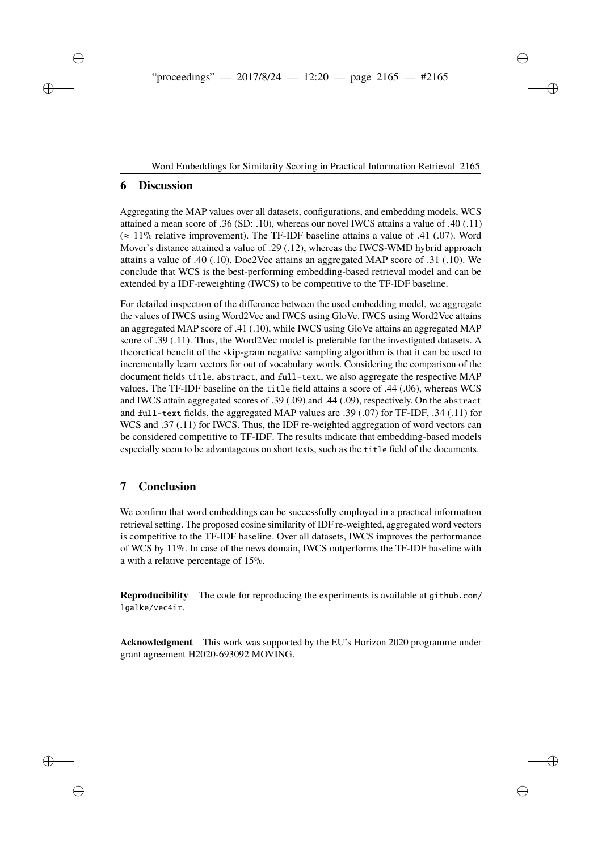### <span id="page-10-0"></span>**6 Discussion**

Aggregating the MAP values over all datasets, configurations, and embedding models, WCS attained a mean score of .36 (SD: .10), whereas our novel IWCS attains a value of .40 (.11)  $(\approx 11\%$  relative improvement). The TF-IDF baseline attains a value of .41 (.07). Word Mover's distance attained a value of .29 (.12), whereas the IWCS-WMD hybrid approach attains a value of .40 (.10). Doc2Vec attains an aggregated MAP score of .31 (.10). We conclude that WCS is the best-performing embedding-based retrieval model and can be extended by a IDF-reweighting (IWCS) to be competitive to the TF-IDF baseline.

For detailed inspection of the difference between the used embedding model, we aggregate the values of IWCS using Word2Vec and IWCS using GloVe. IWCS using Word2Vec attains an aggregated MAP score of .41 (.10), while IWCS using GloVe attains an aggregated MAP score of .39 (.11). Thus, the Word2Vec model is preferable for the investigated datasets. A theoretical benefit of the skip-gram negative sampling algorithm is that it can be used to incrementally learn vectors for out of vocabulary words. Considering the comparison of the document fields title, abstract, and full-text, we also aggregate the respective MAP values. The TF-IDF baseline on the title field attains a score of .44 (.06), whereas WCS and IWCS attain aggregated scores of .39 (.09) and .44 (.09), respectively. On the abstract and full-text fields, the aggregated MAP values are .39 (.07) for TF-IDF, .34 (.11) for WCS and .37 (.11) for IWCS. Thus, the IDF re-weighted aggregation of word vectors can be considered competitive to TF-IDF. The results indicate that embedding-based models especially seem to be advantageous on short texts, such as the title field of the documents.

# **7 Conclusion**

We confirm that word embeddings can be successfully employed in a practical information retrieval setting. The proposed cosine similarity of IDF re-weighted, aggregated word vectors is competitive to the TF-IDF baseline. Over all datasets, IWCS improves the performance of WCS by 11%. In case of the news domain, IWCS outperforms the TF-IDF baseline with a with a relative percentage of 15%.

**Reproducibility** The code for reproducing the experiments is available at [github.com/](github.com/lgalke/vec4ir) [lgalke/vec4ir](github.com/lgalke/vec4ir).

**Acknowledgment** This work was supported by the EU's Horizon 2020 programme under grant agreement H2020-693092 MOVING.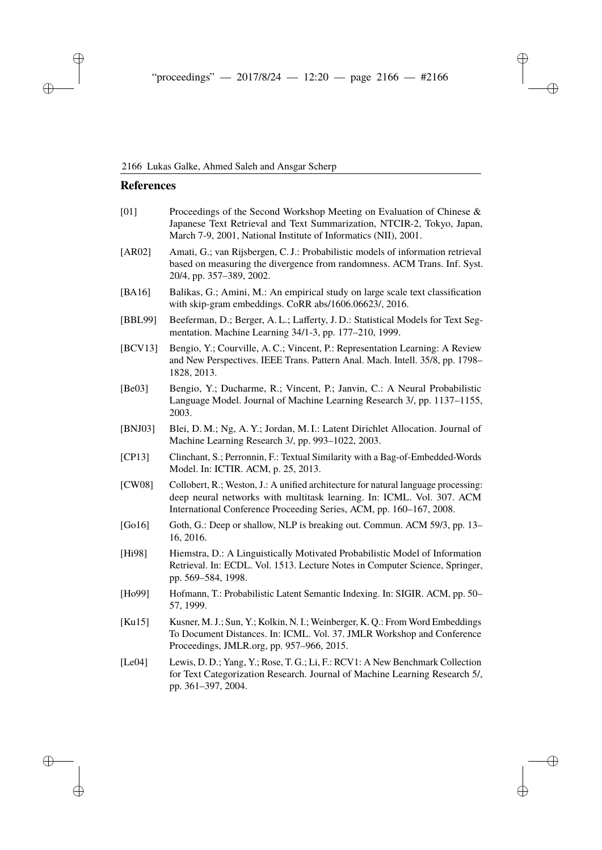# **References**

<span id="page-11-13"></span><span id="page-11-12"></span><span id="page-11-11"></span><span id="page-11-10"></span><span id="page-11-9"></span><span id="page-11-8"></span><span id="page-11-7"></span><span id="page-11-6"></span><span id="page-11-5"></span><span id="page-11-4"></span><span id="page-11-3"></span><span id="page-11-2"></span><span id="page-11-1"></span><span id="page-11-0"></span>

| [01]     | Proceedings of the Second Workshop Meeting on Evaluation of Chinese &<br>Japanese Text Retrieval and Text Summarization, NTCIR-2, Tokyo, Japan,<br>March 7-9, 2001, National Institute of Informatics (NII), 2001.                 |
|----------|------------------------------------------------------------------------------------------------------------------------------------------------------------------------------------------------------------------------------------|
| $[AR02]$ | Amati, G.; van Rijsbergen, C. J.: Probabilistic models of information retrieval<br>based on measuring the divergence from randomness. ACM Trans. Inf. Syst.<br>20/4, pp. 357-389, 2002.                                            |
| [BA16]   | Balikas, G.; Amini, M.: An empirical study on large scale text classification<br>with skip-gram embeddings. CoRR abs/1606.06623/, 2016.                                                                                            |
| [BBL99]  | Beeferman, D.; Berger, A. L.; Lafferty, J. D.: Statistical Models for Text Seg-<br>mentation. Machine Learning 34/1-3, pp. 177–210, 1999.                                                                                          |
| [BCV13]  | Bengio, Y.; Courville, A. C.; Vincent, P.: Representation Learning: A Review<br>and New Perspectives. IEEE Trans. Pattern Anal. Mach. Intell. 35/8, pp. 1798-<br>1828, 2013.                                                       |
| [Be03]   | Bengio, Y.; Ducharme, R.; Vincent, P.; Janvin, C.: A Neural Probabilistic<br>Language Model. Journal of Machine Learning Research 3/, pp. 1137-1155,<br>2003.                                                                      |
| [BNJ03]  | Blei, D. M.; Ng, A. Y.; Jordan, M. I.: Latent Dirichlet Allocation. Journal of<br>Machine Learning Research 3/, pp. 993-1022, 2003.                                                                                                |
| [CP13]   | Clinchant, S.; Perronnin, F.: Textual Similarity with a Bag-of-Embedded-Words<br>Model. In: ICTIR. ACM, p. 25, 2013.                                                                                                               |
| [CW08]   | Collobert, R.; Weston, J.: A unified architecture for natural language processing:<br>deep neural networks with multitask learning. In: ICML. Vol. 307. ACM<br>International Conference Proceeding Series, ACM, pp. 160-167, 2008. |
| [Go16]   | Goth, G.: Deep or shallow, NLP is breaking out. Commun. ACM 59/3, pp. 13–<br>16, 2016.                                                                                                                                             |
| [Hi98]   | Hiemstra, D.: A Linguistically Motivated Probabilistic Model of Information<br>Retrieval. In: ECDL. Vol. 1513. Lecture Notes in Computer Science, Springer,<br>pp. 569-584, 1998.                                                  |
| [Ho99]   | Hofmann, T.: Probabilistic Latent Semantic Indexing. In: SIGIR. ACM, pp. 50-<br>57, 1999.                                                                                                                                          |
| [Ku15]   | Kusner, M. J.; Sun, Y.; Kolkin, N. I.; Weinberger, K. Q.: From Word Embeddings<br>To Document Distances. In: ICML. Vol. 37. JMLR Workshop and Conference<br>Proceedings, JMLR.org, pp. 957-966, 2015.                              |
| [Le04]   | Lewis, D. D.; Yang, Y.; Rose, T. G.; Li, F.: RCV1: A New Benchmark Collection<br>for Text Categorization Research. Journal of Machine Learning Research 5/,<br>pp. 361-397, 2004.                                                  |